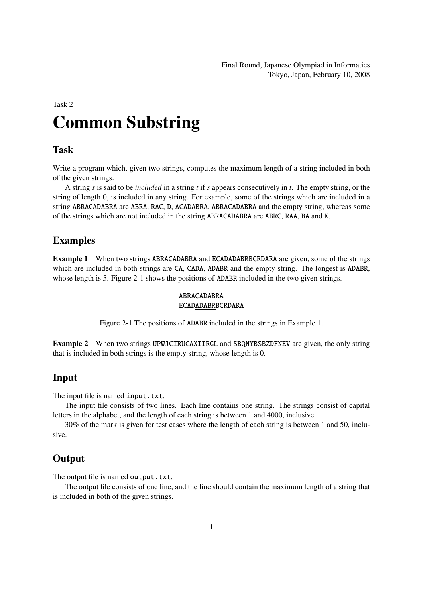Final Round, Japanese Olympiad in Informatics Tokyo, Japan, February 10, 2008

# Task 2 Common Substring

#### Task

Write a program which, given two strings, computes the maximum length of a string included in both of the given strings.

A string *s* is said to be *included* in a string *t* if *s* appears consecutively in *t*. The empty string, or the string of length 0, is included in any string. For example, some of the strings which are included in a string ABRACADABRA are ABRA, RAC, D, ACADABRA, ABRACADABRA and the empty string, whereas some of the strings which are not included in the string ABRACADABRA are ABRC, RAA, BA and K.

#### Examples

Example 1 When two strings ABRACADABRA and ECADADABRBCRDARA are given, some of the strings which are included in both strings are CA, CADA, ADABR and the empty string. The longest is ADABR, whose length is 5. Figure 2-1 shows the positions of **ADABR** included in the two given strings.

#### ABRACADABRA ECADADABRBCRDARA

Figure 2-1 The positions of ADABR included in the strings in Example 1.

Example 2 When two strings UPWJCIRUCAXIIRGL and SBQNYBSBZDFNEV are given, the only string that is included in both strings is the empty string, whose length is 0.

#### Input

The input file is named input.txt.

The input file consists of two lines. Each line contains one string. The strings consist of capital letters in the alphabet, and the length of each string is between 1 and 4000, inclusive.

30% of the mark is given for test cases where the length of each string is between 1 and 50, inclusive.

#### **Output**

The output file is named output.txt.

The output file consists of one line, and the line should contain the maximum length of a string that is included in both of the given strings.